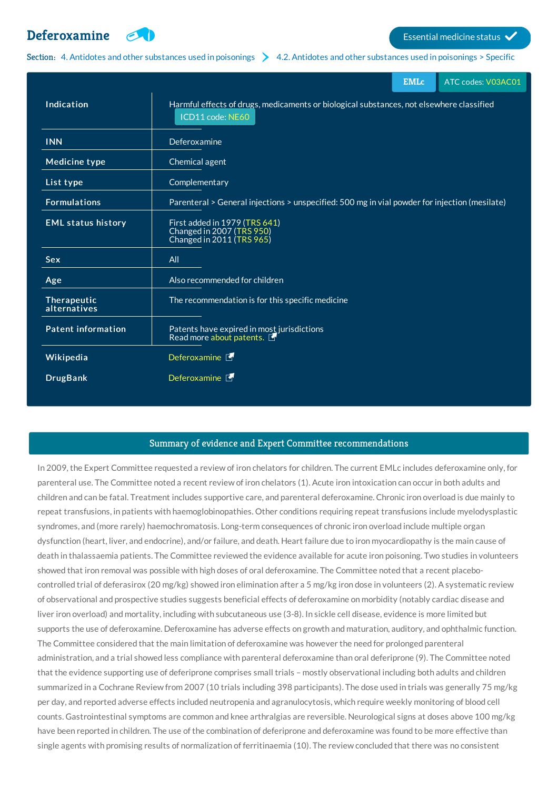

Section: 4. Antidotes and other [substances](http://list.essentialmeds.org/?section=330) used in poisonings  $\geq 4.2$ . Antidotes and other substances used in poisonings > Specific

|                             | <b>EMLc</b>                                                                                                  | ATC codes: V03AC01 |
|-----------------------------|--------------------------------------------------------------------------------------------------------------|--------------------|
| Indication                  | Harmful effects of drugs, medicaments or biological substances, not elsewhere classified<br>ICD11 code: NE60 |                    |
| <b>INN</b>                  | Deferoxamine                                                                                                 |                    |
| <b>Medicine type</b>        | Chemical agent                                                                                               |                    |
| List type                   | Complementary                                                                                                |                    |
| <b>Formulations</b>         | Parenteral > General injections > unspecified: 500 mg in vial powder for injection (mesilate)                |                    |
| <b>EML status history</b>   | First added in 1979 (TRS 641)<br>Changed in 2007 (TRS 950)<br>Changed in 2011 (TRS 965)                      |                    |
| <b>Sex</b>                  | All                                                                                                          |                    |
| Age                         | Also recommended for children                                                                                |                    |
| Therapeutic<br>alternatives | The recommendation is for this specific medicine                                                             |                    |
| <b>Patent information</b>   | Patents have expired in most jurisdictions<br>Read more about patents.                                       |                    |
| Wikipedia                   | Deferoxamine F                                                                                               |                    |
| <b>DrugBank</b>             | Deferoxamine                                                                                                 |                    |

## Summary of evidence and Expert Committee recommendations

In 2009, the Expert Committee requested a review of iron chelators for children. The current EMLc includes deferoxamine only, for parenteral use. The Committee noted a recent review of iron chelators (1). Acute iron intoxication can occur in both adults and children and can be fatal. Treatment includes supportive care, and parenteral deferoxamine. Chronic iron overload is due mainly to repeat transfusions, in patients with haemoglobinopathies. Other conditions requiring repeat transfusions include myelodysplastic syndromes, and (more rarely) haemochromatosis. Long-term consequences of chronic iron overload include multiple organ dysfunction (heart, liver, and endocrine), and/or failure, and death. Heart failure due to iron myocardiopathy is the main cause of death in thalassaemia patients. The Committee reviewed the evidence available for acute iron poisoning. Two studies in volunteers showed that iron removal was possible with high doses of oral deferoxamine. The Committee noted that a recent placebocontrolled trial of deferasirox (20 mg/kg) showed iron elimination after a 5 mg/kg iron dose in volunteers (2). A systematic review of observational and prospective studies suggests beneficial effects of deferoxamine on morbidity (notably cardiac disease and liver iron overload) and mortality, including with subcutaneous use (3-8). In sickle cell disease, evidence is more limited but supports the use of deferoxamine. Deferoxamine has adverse effects on growth and maturation, auditory, and ophthalmic function. The Committee considered that the main limitation of deferoxamine was however the need for prolonged parenteral administration, and a trial showed less compliance with parenteral deferoxamine than oral deferiprone (9). The Committee noted that the evidence supporting use of deferiprone comprises small trials – mostly observational including both adults and children summarized in a Cochrane Review from 2007 (10 trials including 398 participants). The dose used in trials was generally 75 mg/kg per day, and reported adverse effects included neutropenia and agranulocytosis, which require weekly monitoring of blood cell counts. Gastrointestinal symptoms are common and knee arthralgias are reversible. Neurological signs at doses above 100 mg/kg have been reported in children. The use of the combination of deferiprone and deferoxamine was found to be more effective than single agents with promising results of normalization of ferritinaemia (10). The review concluded that there was no consistent